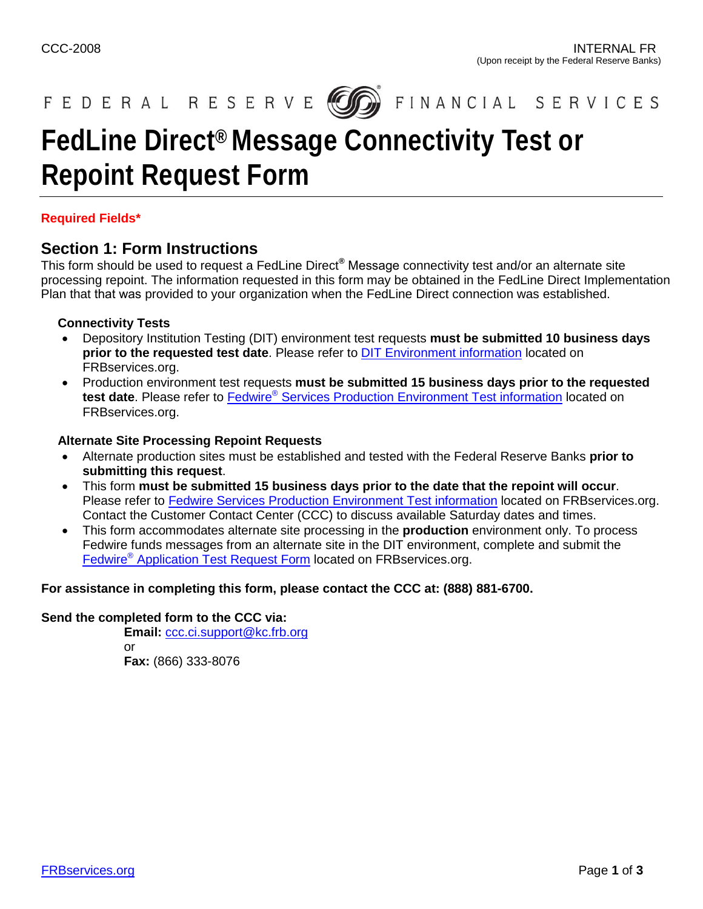

FINANCIAL SERVICES

# **FedLine Direct® Message Connectivity Test or Repoint Request Form**

### **Required Fields\***

### **Section 1: Form Instructions**

This form should be used to request a FedLine Direct**®** Message connectivity test and/or an alternate site processing repoint. The information requested in this form may be obtained in the FedLine Direct Implementation Plan that that was provided to your organization when the FedLine Direct connection was established.

### **Connectivity Tests**

- Depository Institution Testing (DIT) environment test requests **must be submitted 10 business days prior to the requested test date**. Please refer to [DIT Environment information](https://www.frbservices.org/financial-services/wires/testing/opportunities/di-testing.html) located on FRBservices.org.
- Production environment test requests **must be submitted 15 business days prior to the requested** test date. Please refer to **Fedwire<sup>®</sup> [Services Production Environment Test information](https://www.frbservices.org/financial-services/wires/testing/opportunities/production-test.html)** located on FRBservices.org.

### **Alternate Site Processing Repoint Requests**

- Alternate production sites must be established and tested with the Federal Reserve Banks **prior to submitting this request**.
- This form **must be submitted 15 business days prior to the date that the repoint will occur**. Please refer to [Fedwire Services Production Environment Test information](https://www.frbservices.org/financial-services/wires/testing/opportunities/production-test.html) located on FRBservices.org. Contact the Customer Contact Center (CCC) to discuss available Saturday dates and times.
- This form accommodates alternate site processing in the **production** environment only. To process Fedwire funds messages from an alternate site in the DIT environment, complete and submit the Fedwire® [Application Test Request Form](https://www.frbservices.org/financial-services/wires/testing/index.html) located on FRBservices.org.

#### **For assistance in completing this form, please contact the CCC at: (888) 881-6700.**

#### **Send the completed form to the CCC via:**

**Email:** [ccc.ci.support@kc.frb.org](mailto:ccc.ci.support@kc.frb.org) or **Fax:** (866) 333-8076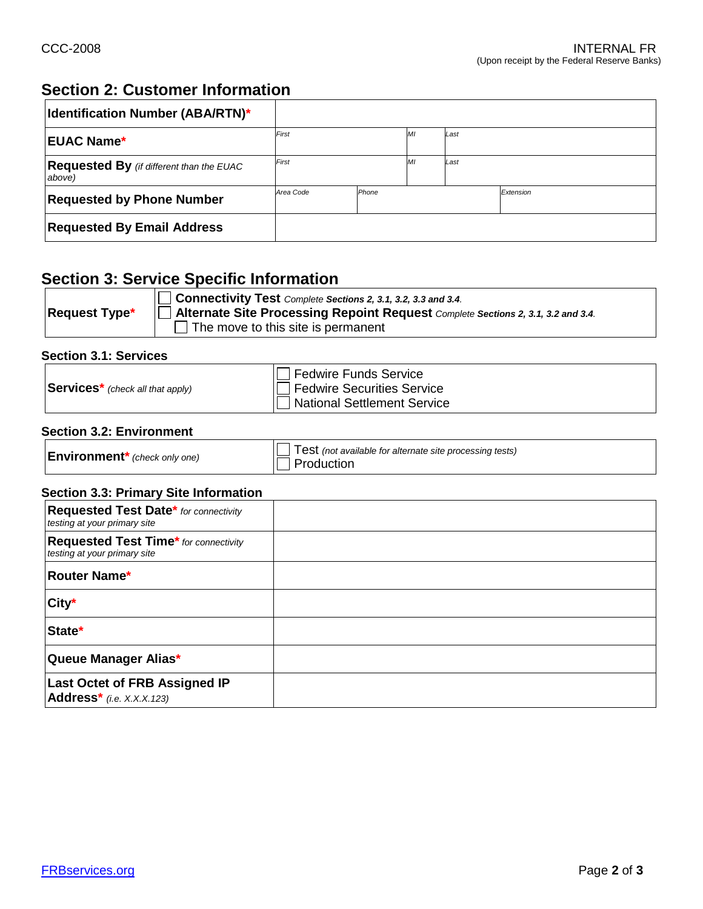# **Section 2: Customer Information**

| <b>Identification Number (ABA/RTN)*</b>                   |                    |  |   |      |           |
|-----------------------------------------------------------|--------------------|--|---|------|-----------|
| <b>IEUAC Name*</b>                                        | First              |  | M | Last |           |
| <b>Requested By</b> (if different than the EUAC<br>above) | First              |  | M | Last |           |
| <b>Requested by Phone Number</b>                          | Area Code<br>Phone |  |   |      | Extension |
| <b>Requested By Email Address</b>                         |                    |  |   |      |           |

### **Section 3: Service Specific Information**

|                      | Connectivity Test Complete Sections 2, 3.1, 3.2, 3.3 and 3.4.                           |
|----------------------|-----------------------------------------------------------------------------------------|
| <b>Request Type*</b> | <b>Alternate Site Processing Repoint Request</b> Complete Sections 2, 3.1, 3.2 and 3.4. |
|                      | $\Box$ The move to this site is permanent                                               |

### **Section 3.1: Services**

|                                              | Fedwire Funds Service              |
|----------------------------------------------|------------------------------------|
| $\textsf{Services}^*$ (check all that apply) | <b>Fedwire Securities Service</b>  |
|                                              | <b>National Settlement Service</b> |

### **Section 3.2: Environment**

| $\mathsf{Environment}^*$ (check only one) | Test (not available for alternate site processing tests)<br>Production |
|-------------------------------------------|------------------------------------------------------------------------|
|-------------------------------------------|------------------------------------------------------------------------|

### **Section 3.3: Primary Site Information**

| Requested Test Date* for connectivity<br>testing at your primary site        |  |
|------------------------------------------------------------------------------|--|
| <b>Requested Test Time*</b> for connectivity<br>testing at your primary site |  |
| <b>Router Name*</b>                                                          |  |
| City*                                                                        |  |
| State*                                                                       |  |
| Queue Manager Alias*                                                         |  |
| <b>Last Octet of FRB Assigned IP</b><br>$Address*$ (i.e. X.X.X.123)          |  |